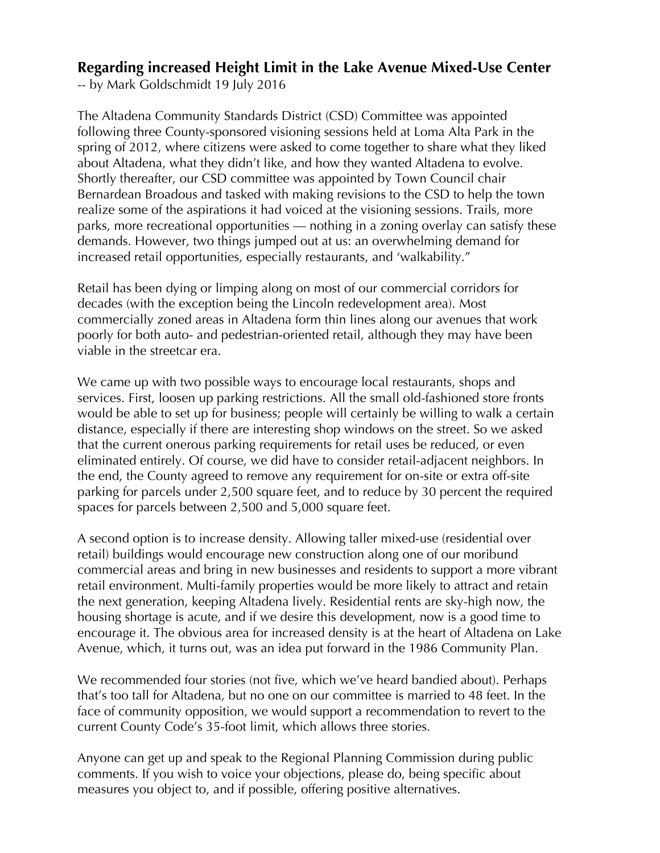## **Regarding increased Height Limit in the Lake Avenue Mixed-Use Center**

-- by Mark Goldschmidt 19 July 2016

The Altadena Community Standards District (CSD) Committee was appointed following three County-sponsored visioning sessions held at Loma Alta Park in the spring of 2012, where citizens were asked to come together to share what they liked about Altadena, what they didn't like, and how they wanted Altadena to evolve. Shortly thereafter, our CSD committee was appointed by Town Council chair Bernardean Broadous and tasked with making revisions to the CSD to help the town realize some of the aspirations it had voiced at the visioning sessions. Trails, more parks, more recreational opportunities — nothing in a zoning overlay can satisfy these demands. However, two things jumped out at us: an overwhelming demand for increased retail opportunities, especially restaurants, and 'walkability."

Retail has been dying or limping along on most of our commercial corridors for decades (with the exception being the Lincoln redevelopment area). Most commercially zoned areas in Altadena form thin lines along our avenues that work poorly for both auto- and pedestrian-oriented retail, although they may have been viable in the streetcar era.

We came up with two possible ways to encourage local restaurants, shops and services. First, loosen up parking restrictions. All the small old-fashioned store fronts would be able to set up for business; people will certainly be willing to walk a certain distance, especially if there are interesting shop windows on the street. So we asked that the current onerous parking requirements for retail uses be reduced, or even eliminated entirely. Of course, we did have to consider retail-adjacent neighbors. In the end, the County agreed to remove any requirement for on-site or extra off-site parking for parcels under 2,500 square feet, and to reduce by 30 percent the required spaces for parcels between 2,500 and 5,000 square feet.

A second option is to increase density. Allowing taller mixed-use (residential over retail) buildings would encourage new construction along one of our moribund commercial areas and bring in new businesses and residents to support a more vibrant retail environment. Multi-family properties would be more likely to attract and retain the next generation, keeping Altadena lively. Residential rents are sky-high now, the housing shortage is acute, and if we desire this development, now is a good time to encourage it. The obvious area for increased density is at the heart of Altadena on Lake Avenue, which, it turns out, was an idea put forward in the 1986 Community Plan.

We recommended four stories (not five, which we've heard bandied about). Perhaps that's too tall for Altadena, but no one on our committee is married to 48 feet. In the face of community opposition, we would support a recommendation to revert to the current County Code's 35-foot limit, which allows three stories.

Anyone can get up and speak to the Regional Planning Commission during public comments. If you wish to voice your objections, please do, being specific about measures you object to, and if possible, offering positive alternatives.